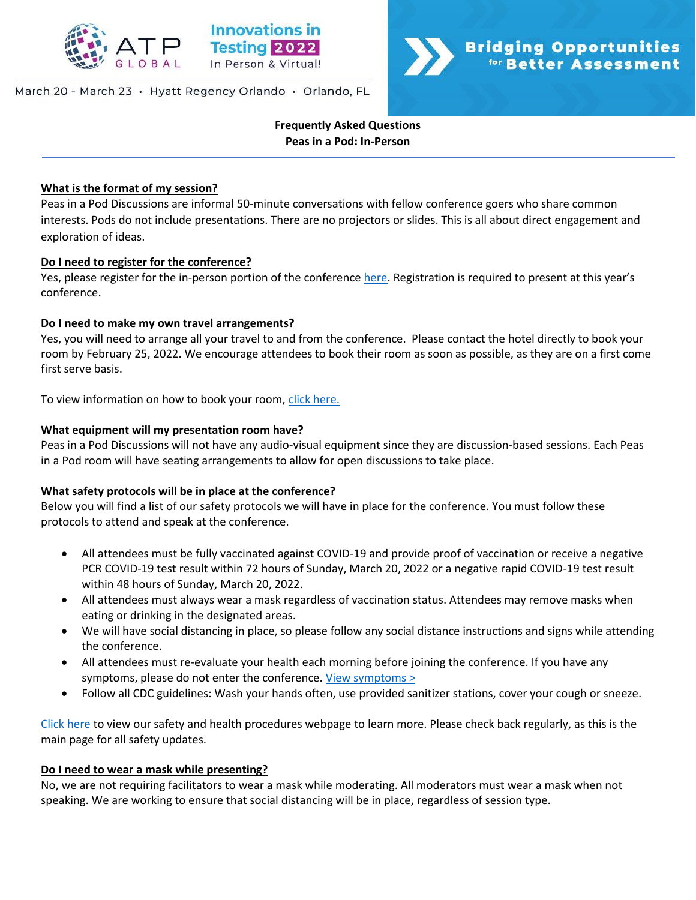

## March 20 - March 23 · Hyatt Regency Orlando · Orlando, FL



**Frequently Asked Questions Peas in a Pod: In-Person**

## **What is the format of my session?**

Peas in a Pod Discussions are informal 50-minute conversations with fellow conference goers who share common interests. Pods do not include presentations. There are no projectors or slides. This is all about direct engagement and exploration of ideas.

## **Do I need to register for the conference?**

Yes, please register for the in-person portion of the conference [here](https://na.eventscloud.com/ereg/index.php?eventid=639135&). Registration is required to present at this year's conference.

## **Do I need to make my own travel arrangements?**

Yes, you will need to arrange all your travel to and from the conference. Please contact the hotel directly to book your room by February 25, 2022. We encourage attendees to book their room as soon as possible, as they are on a first come first serve basis.

To view information on how to book your room, [click here.](http://www.innovationsintesting.org/venue.aspx)

## **What equipment will my presentation room have?**

Peas in a Pod Discussions will not have any audio-visual equipment since they are discussion-based sessions. Each Peas in a Pod room will have seating arrangements to allow for open discussions to take place.

## **What safety protocols will be in place at the conference?**

Below you will find a list of our safety protocols we will have in place for the conference. You must follow these protocols to attend and speak at the conference.

- All attendees must be fully vaccinated against COVID-19 and provide proof of vaccination or receive a negative PCR COVID-19 test result within 72 hours of Sunday, March 20, 2022 or a negative rapid COVID-19 test result within 48 hours of Sunday, March 20, 2022.
- All attendees must always wear a mask regardless of vaccination status. Attendees may remove masks when eating or drinking in the designated areas.
- We will have social distancing in place, so please follow any social distance instructions and signs while attending the conference.
- All attendees must re-evaluate your health each morning before joining the conference. If you have any symptoms, please do not enter the conference. [View symptoms >](https://www.cdc.gov/coronavirus/2019-ncov/symptoms-testing/symptoms.html)
- Follow all CDC guidelines: Wash your hands often, use provided sanitizer stations, cover your cough or sneeze.

[Click here](http://www.innovationsintesting.org/health-safety-procedures.aspx) to view our safety and health procedures webpage to learn more. Please check back regularly, as this is the main page for all safety updates.

#### **Do I need to wear a mask while presenting?**

No, we are not requiring facilitators to wear a mask while moderating. All moderators must wear a mask when not speaking. We are working to ensure that social distancing will be in place, regardless of session type.